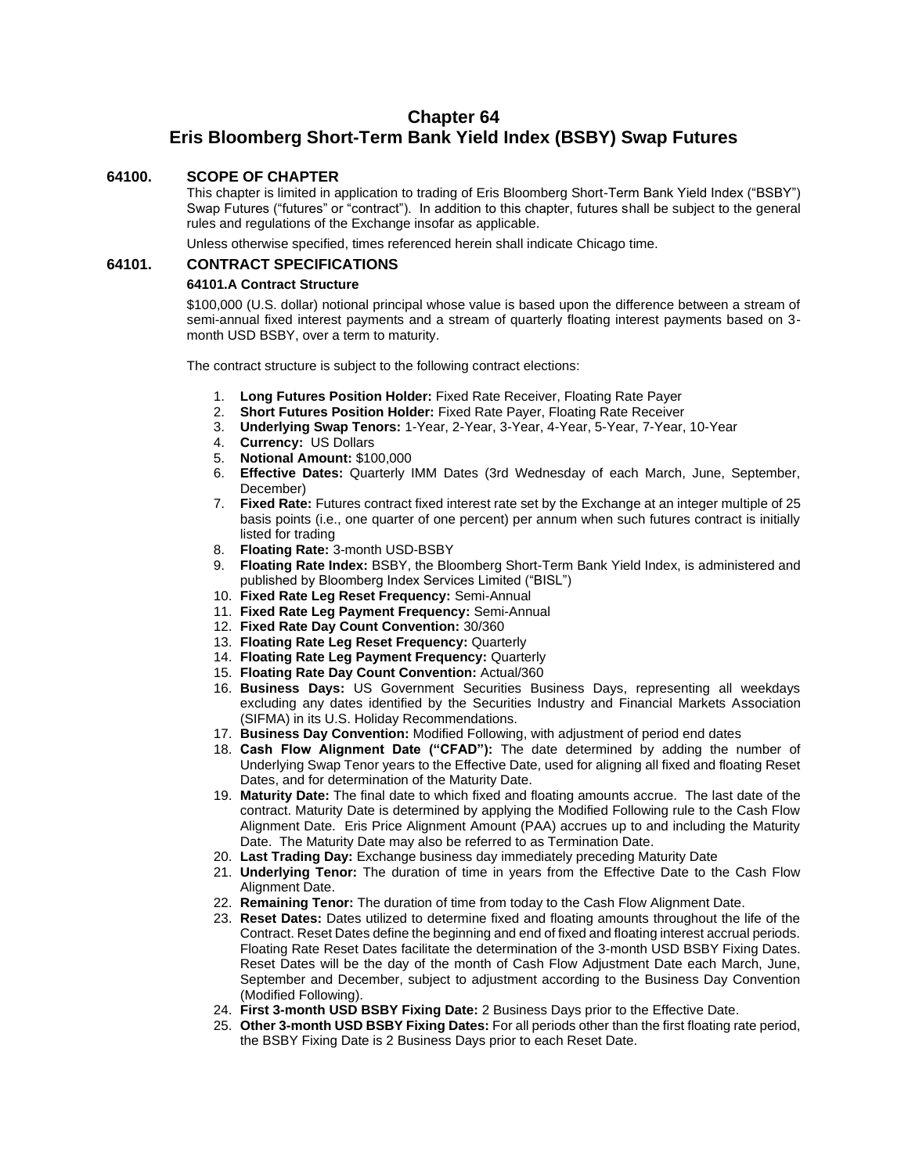# **Chapter 64 Eris Bloomberg Short-Term Bank Yield Index (BSBY) Swap Futures**

# **64100. SCOPE OF CHAPTER**

This chapter is limited in application to trading of Eris Bloomberg Short-Term Bank Yield Index ("BSBY") Swap Futures ("futures" or "contract"). In addition to this chapter, futures shall be subject to the general rules and regulations of the Exchange insofar as applicable.

Unless otherwise specified, times referenced herein shall indicate Chicago time.

# **64101. CONTRACT SPECIFICATIONS**

### **64101.A Contract Structure**

\$100,000 (U.S. dollar) notional principal whose value is based upon the difference between a stream of semi-annual fixed interest payments and a stream of quarterly floating interest payments based on 3 month USD BSBY, over a term to maturity.

The contract structure is subject to the following contract elections:

- 1. **Long Futures Position Holder:** Fixed Rate Receiver, Floating Rate Payer
- 2. **Short Futures Position Holder:** Fixed Rate Payer, Floating Rate Receiver
- 3. **Underlying Swap Tenors:** 1-Year, 2-Year, 3-Year, 4-Year, 5-Year, 7-Year, 10-Year
- 4. **Currency:** US Dollars
- 5. **Notional Amount:** \$100,000
- 6. **Effective Dates:** Quarterly IMM Dates (3rd Wednesday of each March, June, September, December)
- 7. **Fixed Rate:** Futures contract fixed interest rate set by the Exchange at an integer multiple of 25 basis points (i.e., one quarter of one percent) per annum when such futures contract is initially listed for trading
- 8. **Floating Rate:** 3-month USD-BSBY
- 9. **Floating Rate Index:** BSBY, the Bloomberg Short-Term Bank Yield Index, is administered and published by Bloomberg Index Services Limited ("BISL")
- 10. **Fixed Rate Leg Reset Frequency:** Semi-Annual
- 11. **Fixed Rate Leg Payment Frequency:** Semi-Annual
- 12. **Fixed Rate Day Count Convention:** 30/360
- 13. **Floating Rate Leg Reset Frequency:** Quarterly
- 14. **Floating Rate Leg Payment Frequency:** Quarterly
- 15. **Floating Rate Day Count Convention:** Actual/360
- 16. **Business Days:** US Government Securities Business Days, representing all weekdays excluding any dates identified by the Securities Industry and Financial Markets Association (SIFMA) in its U.S. Holiday Recommendations.
- 17. **Business Day Convention:** Modified Following, with adjustment of period end dates
- 18. **Cash Flow Alignment Date ("CFAD"):** The date determined by adding the number of Underlying Swap Tenor years to the Effective Date, used for aligning all fixed and floating Reset Dates, and for determination of the Maturity Date.
- 19. **Maturity Date:** The final date to which fixed and floating amounts accrue. The last date of the contract. Maturity Date is determined by applying the Modified Following rule to the Cash Flow Alignment Date. Eris Price Alignment Amount (PAA) accrues up to and including the Maturity Date. The Maturity Date may also be referred to as Termination Date.
- 20. **Last Trading Day:** Exchange business day immediately preceding Maturity Date
- 21. **Underlying Tenor:** The duration of time in years from the Effective Date to the Cash Flow Alignment Date.
- 22. **Remaining Tenor:** The duration of time from today to the Cash Flow Alignment Date.
- 23. **Reset Dates:** Dates utilized to determine fixed and floating amounts throughout the life of the Contract. Reset Dates define the beginning and end of fixed and floating interest accrual periods. Floating Rate Reset Dates facilitate the determination of the 3-month USD BSBY Fixing Dates. Reset Dates will be the day of the month of Cash Flow Adjustment Date each March, June, September and December, subject to adjustment according to the Business Day Convention (Modified Following).
- 24. **First 3-month USD BSBY Fixing Date:** 2 Business Days prior to the Effective Date.
- 25. **Other 3-month USD BSBY Fixing Dates:** For all periods other than the first floating rate period, the BSBY Fixing Date is 2 Business Days prior to each Reset Date.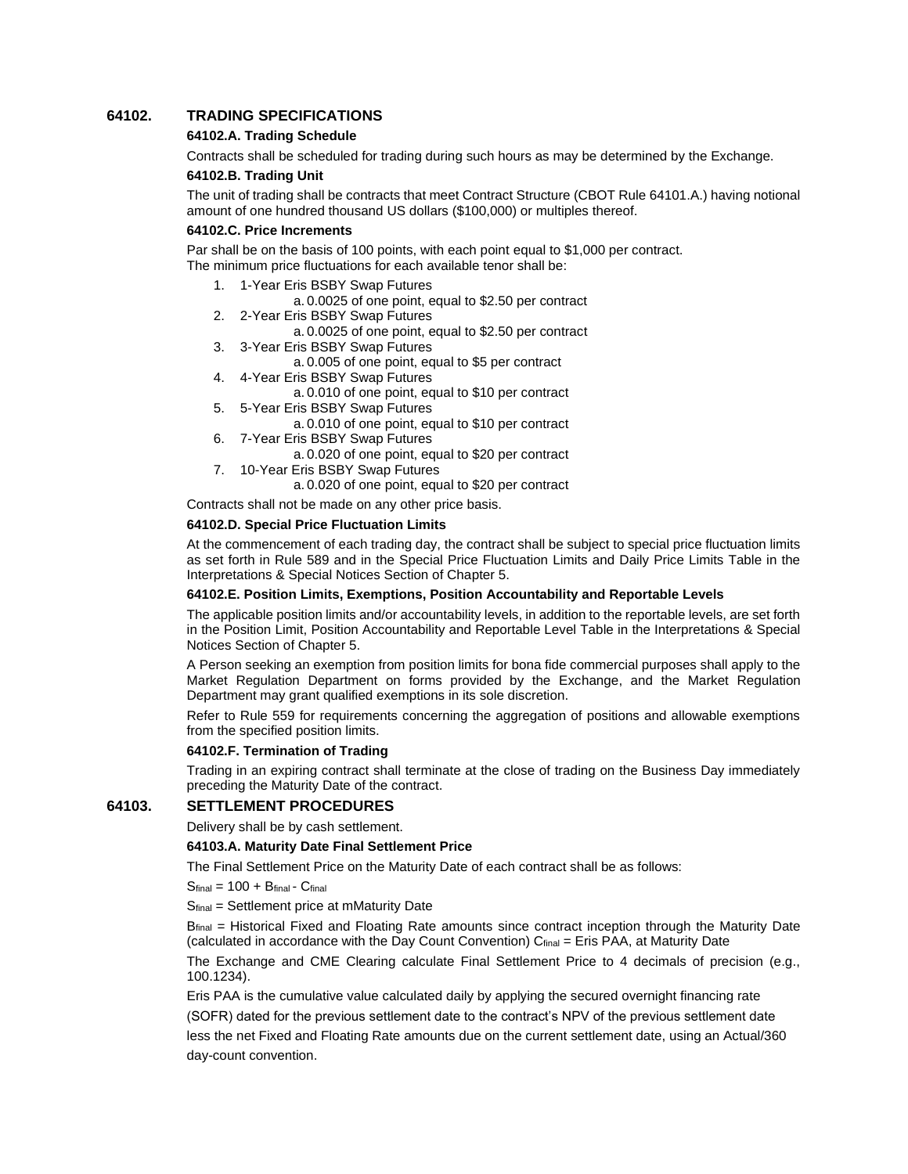## **64102. TRADING SPECIFICATIONS**

### **64102.A. Trading Schedule**

Contracts shall be scheduled for trading during such hours as may be determined by the Exchange.

#### **64102.B. Trading Unit**

The unit of trading shall be contracts that meet Contract Structure (CBOT Rule 64101.A.) having notional amount of one hundred thousand US dollars (\$100,000) or multiples thereof.

#### **64102.C. Price Increments**

Par shall be on the basis of 100 points, with each point equal to \$1,000 per contract. The minimum price fluctuations for each available tenor shall be:

- 1. 1-Year Eris BSBY Swap Futures
	- a. 0.0025 of one point, equal to \$2.50 per contract
- 2. 2-Year Eris BSBY Swap Futures
	- a. 0.0025 of one point, equal to \$2.50 per contract
- 3. 3-Year Eris BSBY Swap Futures
	- a. 0.005 of one point, equal to \$5 per contract
- 4. 4-Year Eris BSBY Swap Futures
	- a. 0.010 of one point, equal to \$10 per contract
- 5. 5-Year Eris BSBY Swap Futures

a. 0.010 of one point, equal to \$10 per contract

- 6. 7-Year Eris BSBY Swap Futures
	- a. 0.020 of one point, equal to \$20 per contract
- 7. 10-Year Eris BSBY Swap Futures
	- a. 0.020 of one point, equal to \$20 per contract

Contracts shall not be made on any other price basis.

#### **64102.D. Special Price Fluctuation Limits**

At the commencement of each trading day, the contract shall be subject to special price fluctuation limits as set forth in Rule 589 and in the Special Price Fluctuation Limits and Daily Price Limits Table in the Interpretations & Special Notices Section of Chapter 5.

### **64102.E. Position Limits, Exemptions, Position Accountability and Reportable Levels**

The applicable position limits and/or accountability levels, in addition to the reportable levels, are set forth in the Position Limit, Position Accountability and Reportable Level Table in the Interpretations & Special Notices Section of Chapter 5.

A Person seeking an exemption from position limits for bona fide commercial purposes shall apply to the Market Regulation Department on forms provided by the Exchange, and the Market Regulation Department may grant qualified exemptions in its sole discretion.

Refer to Rule 559 for requirements concerning the aggregation of positions and allowable exemptions from the specified position limits.

#### **64102.F. Termination of Trading**

Trading in an expiring contract shall terminate at the close of trading on the Business Day immediately preceding the Maturity Date of the contract.

# **64103. SETTLEMENT PROCEDURES**

Delivery shall be by cash settlement.

### **64103.A. Maturity Date Final Settlement Price**

The Final Settlement Price on the Maturity Date of each contract shall be as follows:

 $S<sub>final</sub> = 100 + B<sub>final</sub> - C<sub>final</sub>$ 

Sfinal = Settlement price at mMaturity Date

 $B_{final}$  = Historical Fixed and Floating Rate amounts since contract inception through the Maturity Date (calculated in accordance with the Day Count Convention)  $C<sub>final</sub> = Eris PAA$ , at Maturity Date

The Exchange and CME Clearing calculate Final Settlement Price to 4 decimals of precision (e.g., 100.1234).

Eris PAA is the cumulative value calculated daily by applying the secured overnight financing rate (SOFR) dated for the previous settlement date to the contract's NPV of the previous settlement date less the net Fixed and Floating Rate amounts due on the current settlement date, using an Actual/360 day-count convention.